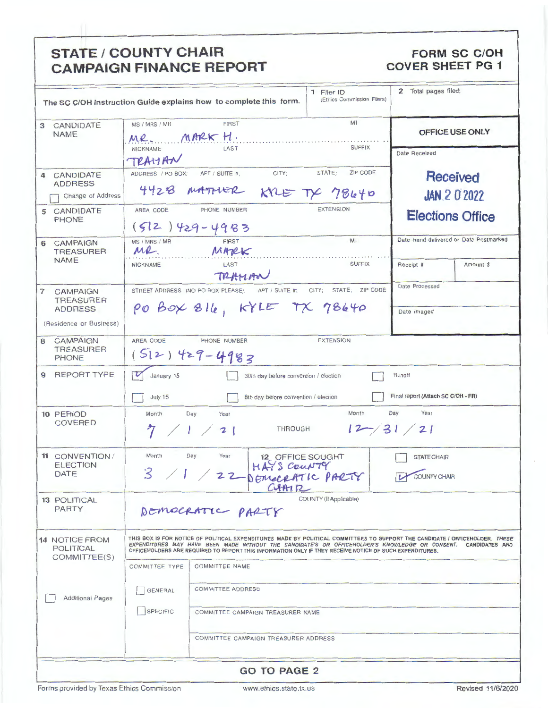| <b>STATE / COUNTY CHAIR</b><br><b>FORM SC C/OH</b><br><b>COVER SHEET PG 1</b><br><b>CAMPAIGN FINANCE REPORT</b> |                                                                                                                                                                                                                                                                                                                                                           |                |                                      |                                          |  |                                        |           |  |
|-----------------------------------------------------------------------------------------------------------------|-----------------------------------------------------------------------------------------------------------------------------------------------------------------------------------------------------------------------------------------------------------------------------------------------------------------------------------------------------------|----------------|--------------------------------------|------------------------------------------|--|----------------------------------------|-----------|--|
| The SC C/OH Instruction Guide explains how to complete this form.                                               |                                                                                                                                                                                                                                                                                                                                                           |                |                                      | 1 Filer ID<br>(Ethics Commission Filers) |  | 2 Total pages filed:                   |           |  |
| 3 CANDIDATE<br><b>NAME</b>                                                                                      | MI<br><b>FIRST</b><br>MS / MRS / MR<br>MR. MARK H.<br><b>SUFFIX</b><br>NICKNAME<br>LAST                                                                                                                                                                                                                                                                   |                |                                      |                                          |  | OFFICE USE ONLY                        |           |  |
| 4 CANDIDATE                                                                                                     | TRAHAN<br>ADDRESS / PO BOX;                                                                                                                                                                                                                                                                                                                               | APT / SUITE #: | CITY;                                | STATE;<br><b>ZIP CODE</b>                |  | Date Received                          |           |  |
| <b>ADDRESS</b><br>Change of Address                                                                             | <b>Received</b><br>4428 MATHER KYLE TX 78640<br><b>JAN 2 0 2022</b>                                                                                                                                                                                                                                                                                       |                |                                      |                                          |  |                                        |           |  |
| 5 CANDIDATE<br><b>PHONE</b>                                                                                     | <b>EXTENSION</b><br>PHONE NUMBER<br>AREA CODE<br>$(512)429 - 4983$                                                                                                                                                                                                                                                                                        |                |                                      |                                          |  | <b>Elections Office</b>                |           |  |
| 6 CAMPAIGN<br><b>TREASURER</b><br><b>NAME</b>                                                                   | M <sub>1</sub><br>MS / MRS / MR<br>FIRST<br>MR.<br>MARK                                                                                                                                                                                                                                                                                                   |                |                                      |                                          |  | Date Hand-delivered or Date Postmarked |           |  |
|                                                                                                                 | <b>NICKNAME</b>                                                                                                                                                                                                                                                                                                                                           | LAST<br>TRAMAN |                                      | <b>SUFFIX</b>                            |  | Receipt #                              | Amount \$ |  |
| $\overline{7}$<br><b>CAMPAIGN</b><br><b>TREASURER</b><br><b>ADDRESS</b>                                         | Date Processed<br>STREET ADDRESS (NO PO BOX PLEASE); APT / SUITE #; CITY;<br>STATE: ZIP CODE<br>PO BOX 816, KYLE TX 78640<br>Date Imaged                                                                                                                                                                                                                  |                |                                      |                                          |  |                                        |           |  |
| (Residence or Business)                                                                                         |                                                                                                                                                                                                                                                                                                                                                           |                |                                      |                                          |  |                                        |           |  |
| <b>CAMPAIGN</b><br>8<br><b>TREASURER</b><br><b>PHONE</b>                                                        | AREA CODE<br><b>EXTENSION</b><br>PHONE NUMBER<br>$(512)429 - 4983$                                                                                                                                                                                                                                                                                        |                |                                      |                                          |  |                                        |           |  |
| <b>REPORT TYPE</b><br>9                                                                                         | January 15<br>Runoff<br>30th day before convention / election                                                                                                                                                                                                                                                                                             |                |                                      |                                          |  |                                        |           |  |
|                                                                                                                 | Final report (Attach SC C/OH - FR)<br>July 15<br>8th day before convention / election                                                                                                                                                                                                                                                                     |                |                                      |                                          |  |                                        |           |  |
| 10 PERIOD<br><b>COVERED</b>                                                                                     | Month<br>Year<br>Month<br>Day<br>Day<br>Year<br>$12 - 31 / 21$<br><b>THROUGH</b><br>$\vert$ $\vert$ $\vert$ $\vert$                                                                                                                                                                                                                                       |                |                                      |                                          |  |                                        |           |  |
| 11 CONVENTION/<br><b>ELECTION</b><br><b>DATE</b>                                                                | Month<br>Month Day Year 12 OFFICE SOUGHT<br>3 / 1 / 22 DEMOCRATIC PARTY<br><b>STATE CHAIR</b><br><b>COUNTY CHAIR</b><br>CHAIR                                                                                                                                                                                                                             |                |                                      |                                          |  |                                        |           |  |
| <b>13 POLITICAL</b><br><b>PARTY</b>                                                                             | COUNTY (If Applicable)<br>DEMOCRATIC PARTY                                                                                                                                                                                                                                                                                                                |                |                                      |                                          |  |                                        |           |  |
| <b>14 NOTICE FROM</b><br><b>POLITICAL</b><br>COMMITTEE(S)                                                       | THIS BOX IS FOR NOTICE OF POLITICAL EXPENDITURES MADE BY POLITICAL COMMITTEES TO SUPPORT THE CANDIDATE / OFFICEHOLDER. THESE<br>EXPENDITURES MAY HAVE BEEN MADE WITHOUT THE CANDIDATE'S OR OFFICEHOLDER'S KNOWLEDGE OR CONSENT. CANDIDATES AND<br>OFFICEHOLDERS ARE REQUIRED TO REPORT THIS INFORMATION ONLY IF THEY RECEIVE NOTICE OF SUCH EXPENDITURES. |                |                                      |                                          |  |                                        |           |  |
|                                                                                                                 | <b>COMMITTEE TYPE</b><br><b>COMMITTEE NAME</b>                                                                                                                                                                                                                                                                                                            |                |                                      |                                          |  |                                        |           |  |
| <b>Additional Pages</b>                                                                                         | <b>COMMITTEE ADDRESS</b><br><b>GENERAL</b>                                                                                                                                                                                                                                                                                                                |                |                                      |                                          |  |                                        |           |  |
|                                                                                                                 | SPECIFIC<br>COMMITTEE CAMPAIGN TREASURER NAME                                                                                                                                                                                                                                                                                                             |                |                                      |                                          |  |                                        |           |  |
|                                                                                                                 |                                                                                                                                                                                                                                                                                                                                                           |                | COMMITTEE CAMPAIGN TREASURER ADDRESS |                                          |  |                                        |           |  |
| <b>GO TO PAGE 2</b>                                                                                             |                                                                                                                                                                                                                                                                                                                                                           |                |                                      |                                          |  |                                        |           |  |

٦